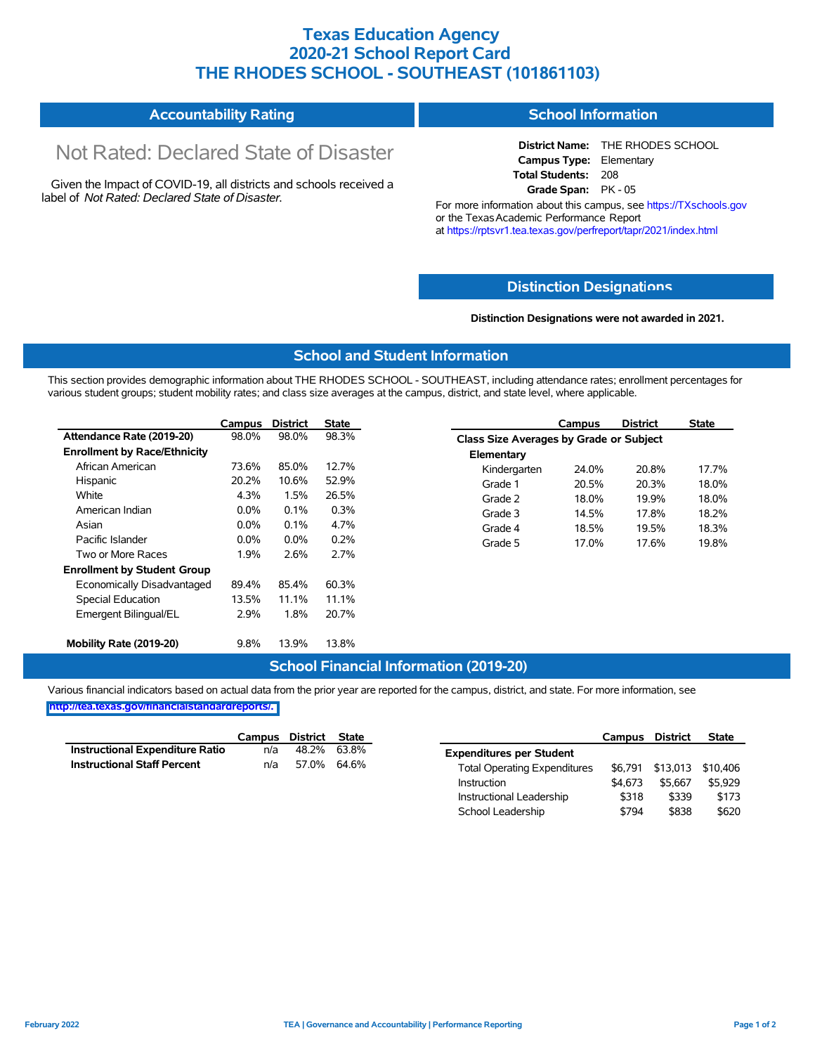# **Texas Education Agency 2020-21 School Report Card THE RHODES SCHOOL - SOUTHEAST (101861103)**

#### **Accountability Rating School Information**

# Not Rated: Declared State of Disaster

Given the Impact of COVID-19, all districts and schools received a label of *Not Rated: Declared State of Disaster.*

**District Name:** THE RHODES SCHOOL **Campus Type:** Elementary **Total Students:** 208 **Grade Span:** PK - 05

For more information about this campus, see https://TXschools.gov or the Texas Academic Performance Report at https://rptsvr1.tea.texas.gov/perfreport/tapr/2021/index.html

### **Distinction Designat[ions](https://TXschools.gov)**

**Distinction Designations were not awarded in 2021.**

School Leadership  $$794$  \$838 \$620

#### **School and Student Information**

This section provides demographic information about THE RHODES SCHOOL - SOUTHEAST, including attendance rates; enrollment percentages for various student groups; student mobility rates; and class size averages at the campus, district, and state level, where applicable.

|                                     | Campus  | <b>District</b> | <b>State</b> |              | Campus                                  | <b>District</b> | <b>State</b> |  |  |  |
|-------------------------------------|---------|-----------------|--------------|--------------|-----------------------------------------|-----------------|--------------|--|--|--|
| Attendance Rate (2019-20)           | 98.0%   | 98.0%           | 98.3%        |              | Class Size Averages by Grade or Subject |                 |              |  |  |  |
| <b>Enrollment by Race/Ethnicity</b> |         |                 |              | Elementary   |                                         |                 |              |  |  |  |
| African American                    | 73.6%   | 85.0%           | 12.7%        | Kindergarten | 24.0%                                   | 20.8%           | 17.7%        |  |  |  |
| Hispanic                            | 20.2%   | 10.6%           | 52.9%        | Grade 1      | 20.5%                                   | 20.3%           | 18.0%        |  |  |  |
| White                               | 4.3%    | 1.5%            | 26.5%        | Grade 2      | 18.0%                                   | 19.9%           | 18.0%        |  |  |  |
| American Indian                     | $0.0\%$ | 0.1%            | 0.3%         | Grade 3      | 14.5%                                   | 17.8%           | 18.2%        |  |  |  |
| Asian                               | 0.0%    | 0.1%            | 4.7%         | Grade 4      | 18.5%                                   | 19.5%           | 18.3%        |  |  |  |
| Pacific Islander                    | $0.0\%$ | $0.0\%$         | 0.2%         | Grade 5      | 17.0%                                   | 17.6%           | 19.8%        |  |  |  |
| Two or More Races                   | 1.9%    | 2.6%            | 2.7%         |              |                                         |                 |              |  |  |  |
| <b>Enrollment by Student Group</b>  |         |                 |              |              |                                         |                 |              |  |  |  |
| Economically Disadvantaged          | 89.4%   | 85.4%           | 60.3%        |              |                                         |                 |              |  |  |  |
| Special Education                   | 13.5%   | 11.1%           | 11.1%        |              |                                         |                 |              |  |  |  |
| Emergent Bilingual/EL               | 2.9%    | 1.8%            | 20.7%        |              |                                         |                 |              |  |  |  |
|                                     |         |                 |              |              |                                         |                 |              |  |  |  |
| Mobility Rate (2019-20)             | 9.8%    | 13.9%           | 13.8%        |              |                                         |                 |              |  |  |  |

### **School Financial Information (2019-20)**

Various financial indicators based on actual data from the prior year are reported for the campus, district, and state. For more information, see

**[http://tea.texas.gov/financialstandardreports/.](http://tea.texas.gov/financialstandardreports/)**

|                                        | Campus | District State |             |                                     | Campus  | <b>District</b> | <b>State</b>              |
|----------------------------------------|--------|----------------|-------------|-------------------------------------|---------|-----------------|---------------------------|
| <b>Instructional Expenditure Ratio</b> | n/a    | 48.2%          | 63.8%       | <b>Expenditures per Student</b>     |         |                 |                           |
| <b>Instructional Staff Percent</b>     | n/a    |                | 57.0% 64.6% | <b>Total Operating Expenditures</b> |         |                 | \$6,791 \$13,013 \$10,406 |
|                                        |        |                |             | Instruction                         | \$4.673 | \$5.667         | \$5,929                   |
|                                        |        |                |             | Instructional Leadership            | \$318   | \$339           | \$173                     |